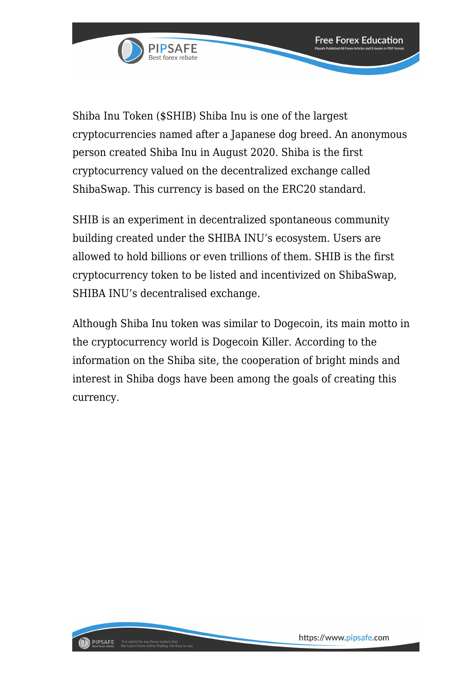

Shiba Inu Token (\$SHIB) Shiba Inu is one of the largest cryptocurrencies named after a Japanese dog breed. An anonymous person created Shiba Inu in August 2020. Shiba is the first cryptocurrency valued on the decentralized exchange called ShibaSwap. This currency is based on the ERC20 standard.

SHIB is an experiment in decentralized spontaneous community building created under the SHIBA INU's ecosystem. Users are allowed to hold billions or even trillions of them. SHIB is the first cryptocurrency token to be listed and incentivized on ShibaSwap, SHIBA INU's decentralised exchange.

Although Shiba Inu token was similar to Dogecoin, its main motto in the cryptocurrency world is Dogecoin Killer. According to the information on the Shiba site, the cooperation of bright minds and interest in Shiba dogs have been among the goals of creating this currency.

**Free Forex Education**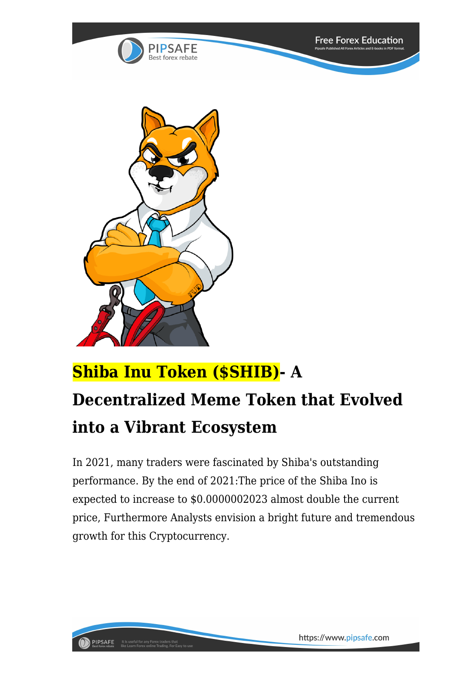



**PIPSAFE** It is useful for any Forex traders that<br>Best forex rebate like Learn Forex online Trading. For Eas

## **Shiba Inu Token (\$SHIB)- A Decentralized Meme Token that Evolved into a Vibrant Ecosystem**

In 2021, many traders were fascinated by Shiba's outstanding performance. By the end of 2021:The price of the Shiba Ino is expected to increase to \$0.0000002023 almost double the current price, Furthermore Analysts envision a bright future and tremendous growth for this Cryptocurrency.